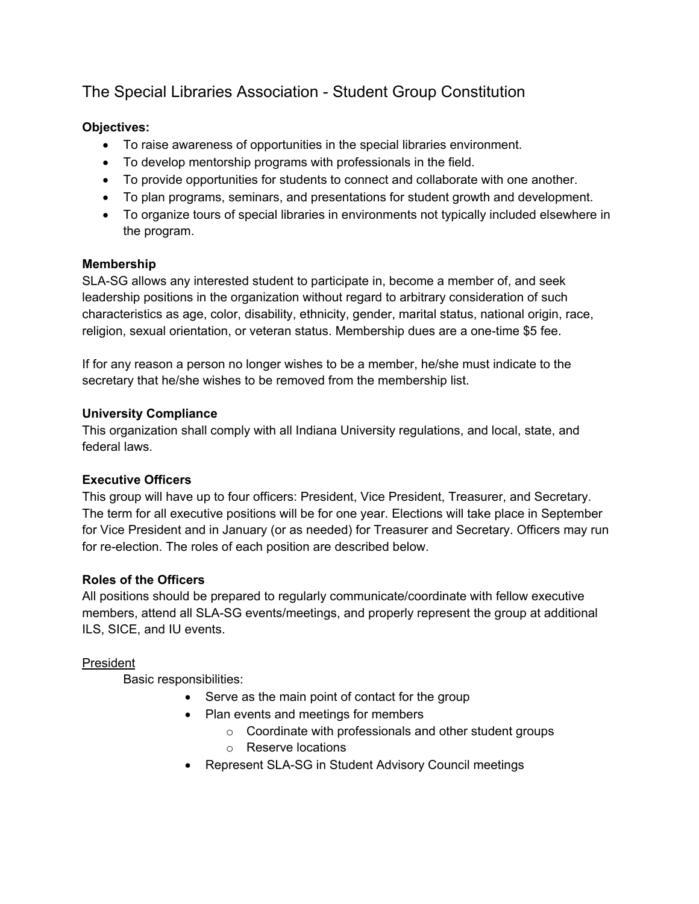# The Special Libraries Association - Student Group Constitution

# **Objectives:**

- To raise awareness of opportunities in the special libraries environment.
- To develop mentorship programs with professionals in the field.
- To provide opportunities for students to connect and collaborate with one another.
- To plan programs, seminars, and presentations for student growth and development.
- To organize tours of special libraries in environments not typically included elsewhere in the program.

# **Membership**

SLA-SG allows any interested student to participate in, become a member of, and seek leadership positions in the organization without regard to arbitrary consideration of such characteristics as age, color, disability, ethnicity, gender, marital status, national origin, race, religion, sexual orientation, or veteran status. Membership dues are a one-time \$5 fee.

If for any reason a person no longer wishes to be a member, he/she must indicate to the secretary that he/she wishes to be removed from the membership list.

## **University Compliance**

This organization shall comply with all Indiana University regulations, and local, state, and federal laws.

# **Executive Officers**

This group will have up to four officers: President, Vice President, Treasurer, and Secretary. The term for all executive positions will be for one year. Elections will take place in September for Vice President and in January (or as needed) for Treasurer and Secretary. Officers may run for re-election. The roles of each position are described below.

# **Roles of the Officers**

All positions should be prepared to regularly communicate/coordinate with fellow executive members, attend all SLA-SG events/meetings, and properly represent the group at additional ILS, SICE, and IU events.

# President

Basic responsibilities:

- Serve as the main point of contact for the group
- Plan events and meetings for members
	- $\circ$  Coordinate with professionals and other student groups
	- o Reserve locations
- Represent SLA-SG in Student Advisory Council meetings